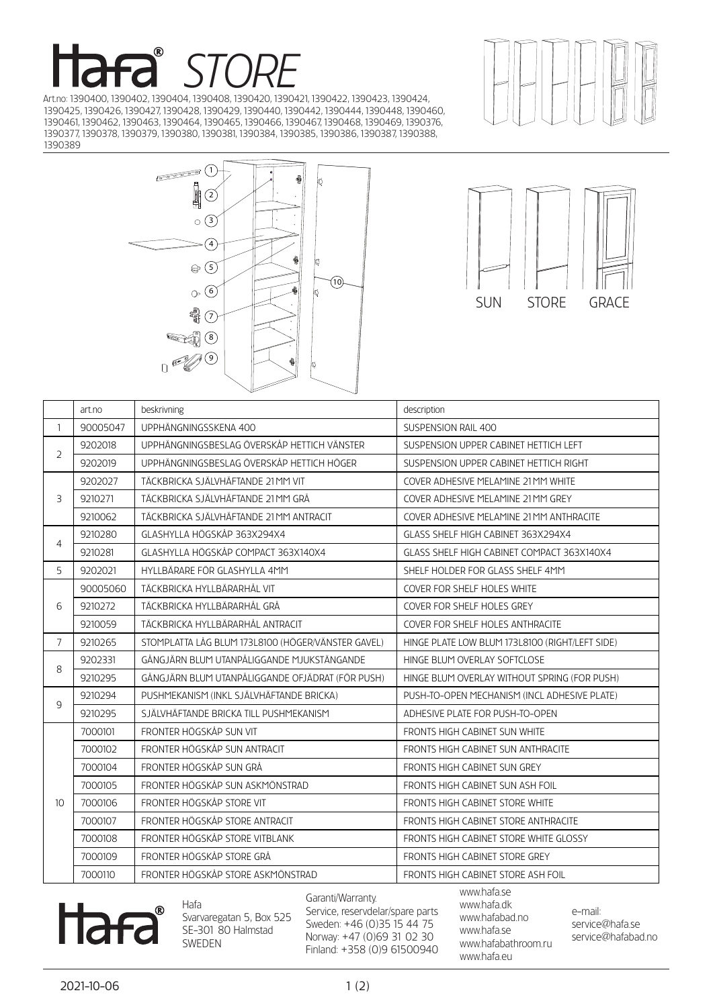## *STORE*

Art.no: 1390400, 1390402, 1390404, 1390408, 1390420, 1390421, 1390422, 1390423, 1390424, 1390425, 1390426, 1390427, 1390428, 1390429, 1390440, 1390442, 1390444, 1390448, 1390460, 1390461, 1390462, 1390463, 1390464, 1390465, 1390466, 1390467, 1390468, 1390469, 1390376, 1390377, 1390378, 1390379, 1390380, 1390381, 1390384, 1390385, 1390386, 1390387, 1390388, 







|                | art.no   | beskrivning                                        | description                                     |
|----------------|----------|----------------------------------------------------|-------------------------------------------------|
| $\mathbf{1}$   | 90005047 | UPPHÄNGNINGSSKENA 400                              | SUSPENSION RAIL 400                             |
| $\overline{2}$ | 9202018  | UPPHÄNGNINGSBESLAG ÖVERSKÅP HETTICH VÄNSTER        | SUSPENSION UPPER CABINET HETTICH LEFT           |
|                | 9202019  | UPPHÄNGNINGSBESLAG ÖVERSKÅP HETTICH HÖGER          | SUSPENSION UPPER CABINET HETTICH RIGHT          |
| 3              | 9202027  | TÄCKBRICKA SJÄLVHÄFTANDE 21 MM VIT                 | COVER ADHESIVE MELAMINE 21 MM WHITE             |
|                | 9210271  | TÄCKBRICKA SJÄLVHÄFTANDE 21 MM GRÅ                 | COVER ADHESIVE MELAMINE 21 MM GREY              |
|                | 9210062  | TÄCKBRICKA SJÄLVHÄFTANDE 21 MM ANTRACIT            | COVER ADHESIVE MELAMINE 21 MM ANTHRACITE        |
| $\overline{4}$ | 9210280  | GLASHYLLA HÖGSKÅP 363X294X4                        | GLASS SHELF HIGH CABINET 363X294X4              |
|                | 9210281  | GLASHYLLA HÖGSKÅP COMPACT 363X140X4                | GLASS SHELF HIGH CABINET COMPACT 363X140X4      |
| 5              | 9202021  | HYLLBÄRARE FÖR GLASHYLLA 4MM                       | SHELF HOLDER FOR GLASS SHELF 4MM                |
|                | 90005060 | TÄCKBRICKA HYLLBÄRARHÅL VIT                        | <b>COVER FOR SHELF HOLES WHITE</b>              |
| 6              | 9210272  | TÄCKBRICKA HYLLBÄRARHÅL GRÅ                        | COVER FOR SHELF HOLES GREY                      |
|                | 9210059  | TÄCKBRICKA HYLLBÄRARHÅL ANTRACIT                   | COVER FOR SHELF HOLES ANTHRACITE                |
| $\overline{7}$ | 9210265  | STOMPLATTA LÅG BLUM 173L8100 (HÖGER/VÄNSTER GAVEL) | HINGE PLATE LOW BLUM 173L8100 (RIGHT/LEFT SIDE) |
| 8              | 9202331  | GÅNGJÄRN BLUM UTANPÅLIGGANDE MJUKSTÄNGANDE         | HINGE BLUM OVERLAY SOFTCLOSE                    |
|                | 9210295  | GÅNGJÄRN BLUM UTANPÅLIGGANDE OFJÄDRAT (FÖR PUSH)   | HINGE BLUM OVERLAY WITHOUT SPRING (FOR PUSH)    |
| 9              | 9210294  | PUSHMEKANISM (INKL SJÄLVHÄFTANDE BRICKA)           | PUSH-TO-OPEN MECHANISM (INCL ADHESIVE PLATE)    |
|                | 9210295  | SJÄLVHÄFTANDE BRICKA TILL PUSHMEKANISM             | ADHESIVE PLATE FOR PUSH-TO-OPEN                 |
|                | 7000101  | FRONTER HÖGSKÅP SUN VIT                            | FRONTS HIGH CABINET SUN WHITE                   |
|                | 7000102  | FRONTER HÖGSKÅP SUN ANTRACIT                       | FRONTS HIGH CABINET SUN ANTHRACITE              |
|                | 7000104  | FRONTER HÖGSKÅP SUN GRÅ                            | FRONTS HIGH CABINET SUN GREY                    |
|                | 7000105  | FRONTER HÖGSKÅP SUN ASKMÖNSTRAD                    | FRONTS HIGH CABINET SUN ASH FOIL                |
| 10             | 7000106  | FRONTER HÖGSKÅP STORE VIT                          | FRONTS HIGH CABINET STORE WHITE                 |
|                | 7000107  | FRONTER HÖGSKÅP STORE ANTRACIT                     | FRONTS HIGH CABINET STORE ANTHRACITE            |
|                | 7000108  | FRONTER HÖGSKÅP STORE VITBLANK                     | FRONTS HIGH CABINET STORE WHITE GLOSSY          |
|                | 7000109  | FRONTER HÖGSKÅP STORE GRÅ                          | FRONTS HIGH CABINET STORE GREY                  |
|                | 7000110  | FRONTER HÖGSKÅP STORE ASKMÖNSTRAD                  | FRONTS HIGH CABINET STORE ASH FOIL              |



Hafa Svarvaregatan 5, Box 525 SE-301 80 Halmstad SWEDEN

Garanti/Warranty. Service, reservdelar/spare parts Sweden: +46 (0)35 15 44 75 Norway: +47 (0)69 31 02 30 Finland: +358 (0)9 61500940 www.hafa.se www.hafa.dk www.hafabad.no www.hafa.se www.hafabathroom.ru www.hafa.eu

e-mail: service@hafa.se service@hafabad.no